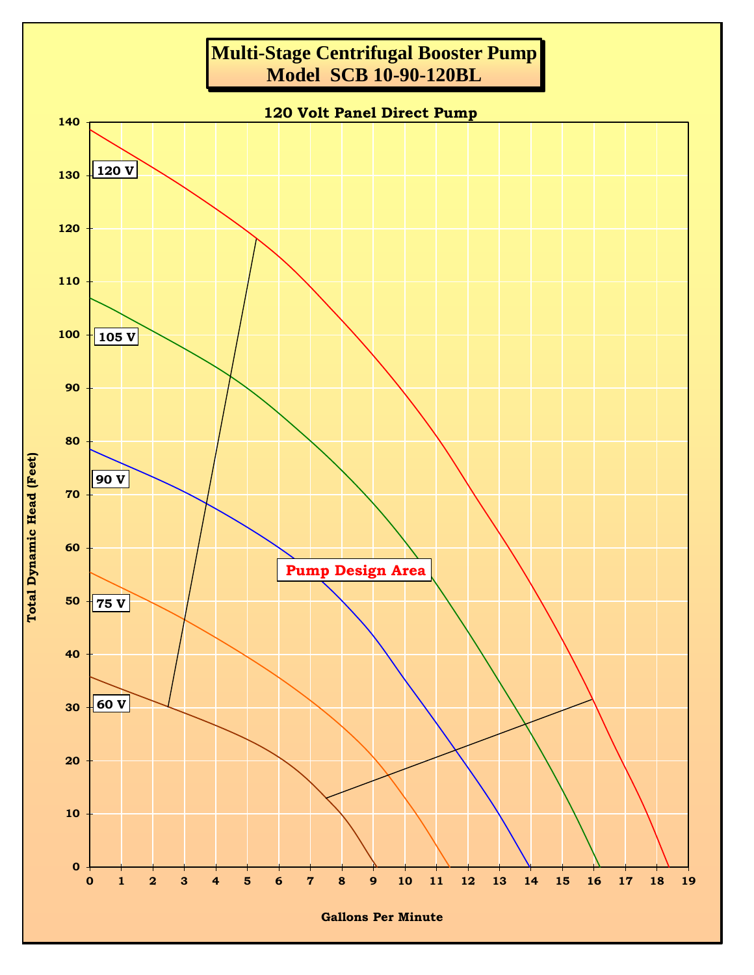